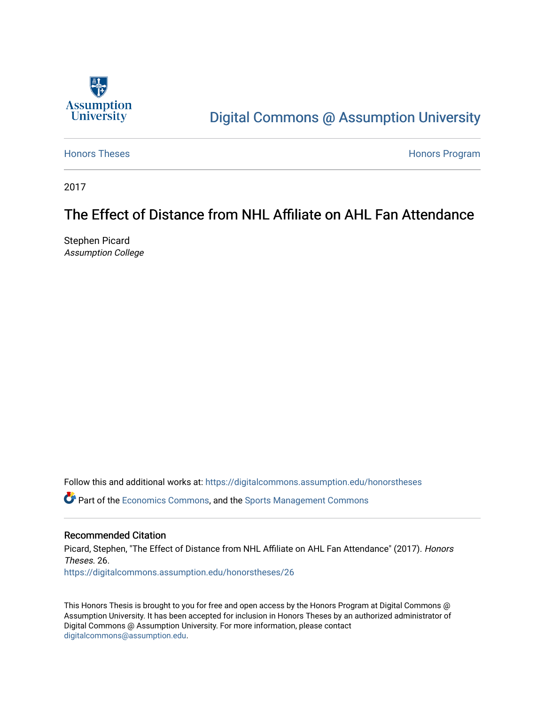

# [Digital Commons @ Assumption University](https://digitalcommons.assumption.edu/)

[Honors Theses](https://digitalcommons.assumption.edu/honorstheses) **Honors** Program

2017

# The Effect of Distance from NHL Affiliate on AHL Fan Attendance

Stephen Picard Assumption College

Follow this and additional works at: [https://digitalcommons.assumption.edu/honorstheses](https://digitalcommons.assumption.edu/honorstheses?utm_source=digitalcommons.assumption.edu%2Fhonorstheses%2F26&utm_medium=PDF&utm_campaign=PDFCoverPages)

Part of the [Economics Commons](http://network.bepress.com/hgg/discipline/340?utm_source=digitalcommons.assumption.edu%2Fhonorstheses%2F26&utm_medium=PDF&utm_campaign=PDFCoverPages), and the [Sports Management Commons](http://network.bepress.com/hgg/discipline/1193?utm_source=digitalcommons.assumption.edu%2Fhonorstheses%2F26&utm_medium=PDF&utm_campaign=PDFCoverPages)

# Recommended Citation

Picard, Stephen, "The Effect of Distance from NHL Affiliate on AHL Fan Attendance" (2017). Honors Theses. 26. [https://digitalcommons.assumption.edu/honorstheses/26](https://digitalcommons.assumption.edu/honorstheses/26?utm_source=digitalcommons.assumption.edu%2Fhonorstheses%2F26&utm_medium=PDF&utm_campaign=PDFCoverPages) 

This Honors Thesis is brought to you for free and open access by the Honors Program at Digital Commons @ Assumption University. It has been accepted for inclusion in Honors Theses by an authorized administrator of Digital Commons @ Assumption University. For more information, please contact [digitalcommons@assumption.edu](mailto:digitalcommons@assumption.edu).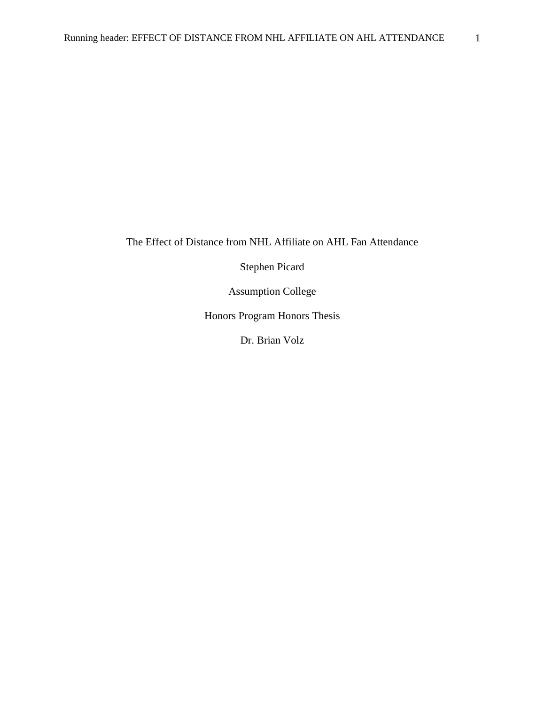The Effect of Distance from NHL Affiliate on AHL Fan Attendance

Stephen Picard

Assumption College

Honors Program Honors Thesis

Dr. Brian Volz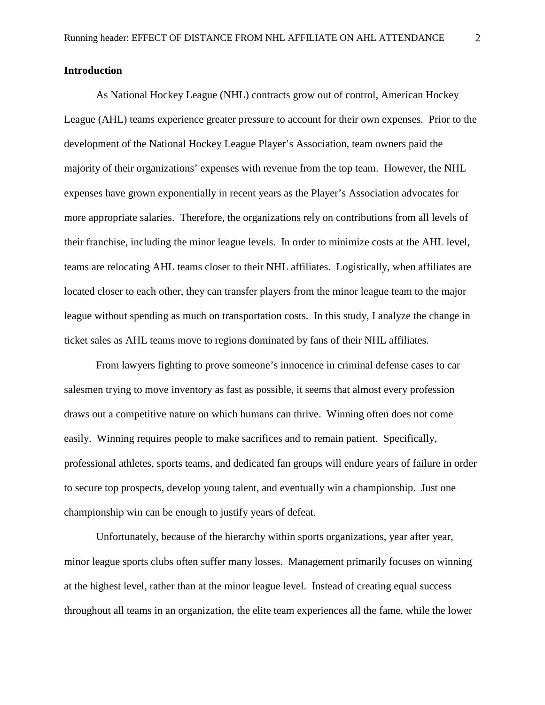# **Introduction**

As National Hockey League (NHL) contracts grow out of control, American Hockey League (AHL) teams experience greater pressure to account for their own expenses. Prior to the development of the National Hockey League Player's Association, team owners paid the majority of their organizations' expenses with revenue from the top team. However, the NHL expenses have grown exponentially in recent years as the Player's Association advocates for more appropriate salaries. Therefore, the organizations rely on contributions from all levels of their franchise, including the minor league levels. In order to minimize costs at the AHL level, teams are relocating AHL teams closer to their NHL affiliates. Logistically, when affiliates are located closer to each other, they can transfer players from the minor league team to the major league without spending as much on transportation costs. In this study, I analyze the change in ticket sales as AHL teams move to regions dominated by fans of their NHL affiliates.

From lawyers fighting to prove someone's innocence in criminal defense cases to car salesmen trying to move inventory as fast as possible, it seems that almost every profession draws out a competitive nature on which humans can thrive. Winning often does not come easily. Winning requires people to make sacrifices and to remain patient. Specifically, professional athletes, sports teams, and dedicated fan groups will endure years of failure in order to secure top prospects, develop young talent, and eventually win a championship. Just one championship win can be enough to justify years of defeat.

Unfortunately, because of the hierarchy within sports organizations, year after year, minor league sports clubs often suffer many losses. Management primarily focuses on winning at the highest level, rather than at the minor league level. Instead of creating equal success throughout all teams in an organization, the elite team experiences all the fame, while the lower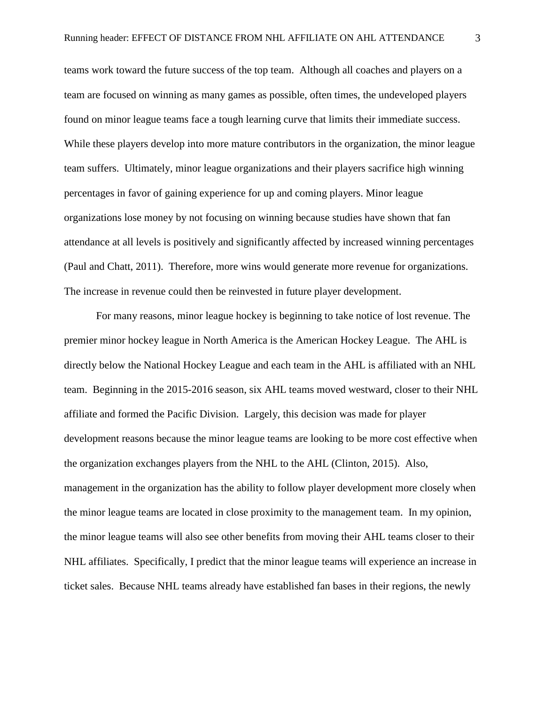teams work toward the future success of the top team. Although all coaches and players on a team are focused on winning as many games as possible, often times, the undeveloped players found on minor league teams face a tough learning curve that limits their immediate success. While these players develop into more mature contributors in the organization, the minor league team suffers. Ultimately, minor league organizations and their players sacrifice high winning percentages in favor of gaining experience for up and coming players. Minor league organizations lose money by not focusing on winning because studies have shown that fan attendance at all levels is positively and significantly affected by increased winning percentages (Paul and Chatt, 2011). Therefore, more wins would generate more revenue for organizations. The increase in revenue could then be reinvested in future player development.

For many reasons, minor league hockey is beginning to take notice of lost revenue. The premier minor hockey league in North America is the American Hockey League. The AHL is directly below the National Hockey League and each team in the AHL is affiliated with an NHL team. Beginning in the 2015-2016 season, six AHL teams moved westward, closer to their NHL affiliate and formed the Pacific Division. Largely, this decision was made for player development reasons because the minor league teams are looking to be more cost effective when the organization exchanges players from the NHL to the AHL (Clinton, 2015). Also, management in the organization has the ability to follow player development more closely when the minor league teams are located in close proximity to the management team. In my opinion, the minor league teams will also see other benefits from moving their AHL teams closer to their NHL affiliates. Specifically, I predict that the minor league teams will experience an increase in ticket sales. Because NHL teams already have established fan bases in their regions, the newly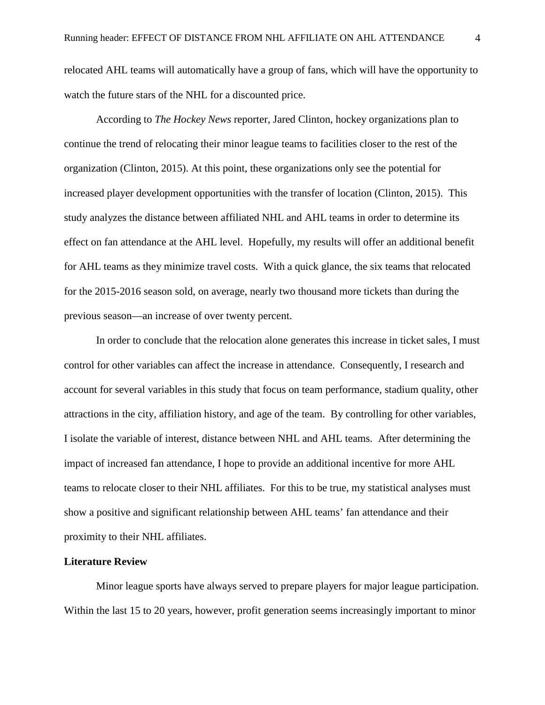relocated AHL teams will automatically have a group of fans, which will have the opportunity to watch the future stars of the NHL for a discounted price.

According to *The Hockey News* reporter, Jared Clinton, hockey organizations plan to continue the trend of relocating their minor league teams to facilities closer to the rest of the organization (Clinton, 2015). At this point, these organizations only see the potential for increased player development opportunities with the transfer of location (Clinton, 2015). This study analyzes the distance between affiliated NHL and AHL teams in order to determine its effect on fan attendance at the AHL level. Hopefully, my results will offer an additional benefit for AHL teams as they minimize travel costs. With a quick glance, the six teams that relocated for the 2015-2016 season sold, on average, nearly two thousand more tickets than during the previous season—an increase of over twenty percent.

In order to conclude that the relocation alone generates this increase in ticket sales, I must control for other variables can affect the increase in attendance. Consequently, I research and account for several variables in this study that focus on team performance, stadium quality, other attractions in the city, affiliation history, and age of the team. By controlling for other variables, I isolate the variable of interest, distance between NHL and AHL teams. After determining the impact of increased fan attendance, I hope to provide an additional incentive for more AHL teams to relocate closer to their NHL affiliates. For this to be true, my statistical analyses must show a positive and significant relationship between AHL teams' fan attendance and their proximity to their NHL affiliates.

### **Literature Review**

Minor league sports have always served to prepare players for major league participation. Within the last 15 to 20 years, however, profit generation seems increasingly important to minor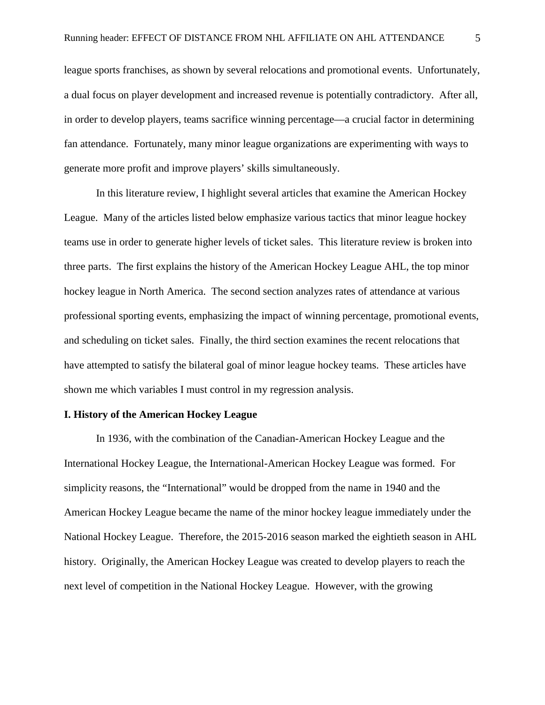league sports franchises, as shown by several relocations and promotional events. Unfortunately, a dual focus on player development and increased revenue is potentially contradictory. After all, in order to develop players, teams sacrifice winning percentage—a crucial factor in determining fan attendance. Fortunately, many minor league organizations are experimenting with ways to generate more profit and improve players' skills simultaneously.

In this literature review, I highlight several articles that examine the American Hockey League. Many of the articles listed below emphasize various tactics that minor league hockey teams use in order to generate higher levels of ticket sales. This literature review is broken into three parts. The first explains the history of the American Hockey League AHL, the top minor hockey league in North America. The second section analyzes rates of attendance at various professional sporting events, emphasizing the impact of winning percentage, promotional events, and scheduling on ticket sales. Finally, the third section examines the recent relocations that have attempted to satisfy the bilateral goal of minor league hockey teams. These articles have shown me which variables I must control in my regression analysis.

#### **I. History of the American Hockey League**

In 1936, with the combination of the Canadian-American Hockey League and the International Hockey League, the International-American Hockey League was formed. For simplicity reasons, the "International" would be dropped from the name in 1940 and the American Hockey League became the name of the minor hockey league immediately under the National Hockey League. Therefore, the 2015-2016 season marked the eightieth season in AHL history. Originally, the American Hockey League was created to develop players to reach the next level of competition in the National Hockey League. However, with the growing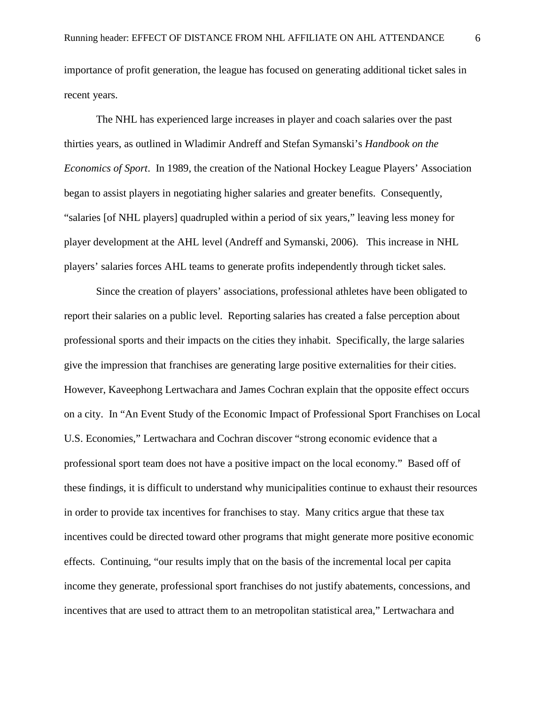importance of profit generation, the league has focused on generating additional ticket sales in recent years.

The NHL has experienced large increases in player and coach salaries over the past thirties years, as outlined in Wladimir Andreff and Stefan Symanski's *Handbook on the Economics of Sport*. In 1989, the creation of the National Hockey League Players' Association began to assist players in negotiating higher salaries and greater benefits. Consequently, "salaries [of NHL players] quadrupled within a period of six years," leaving less money for player development at the AHL level (Andreff and Symanski, 2006). This increase in NHL players' salaries forces AHL teams to generate profits independently through ticket sales.

Since the creation of players' associations, professional athletes have been obligated to report their salaries on a public level. Reporting salaries has created a false perception about professional sports and their impacts on the cities they inhabit. Specifically, the large salaries give the impression that franchises are generating large positive externalities for their cities. However, Kaveephong Lertwachara and James Cochran explain that the opposite effect occurs on a city. In "An Event Study of the Economic Impact of Professional Sport Franchises on Local U.S. Economies," Lertwachara and Cochran discover "strong economic evidence that a professional sport team does not have a positive impact on the local economy." Based off of these findings, it is difficult to understand why municipalities continue to exhaust their resources in order to provide tax incentives for franchises to stay. Many critics argue that these tax incentives could be directed toward other programs that might generate more positive economic effects. Continuing, "our results imply that on the basis of the incremental local per capita income they generate, professional sport franchises do not justify abatements, concessions, and incentives that are used to attract them to an metropolitan statistical area," Lertwachara and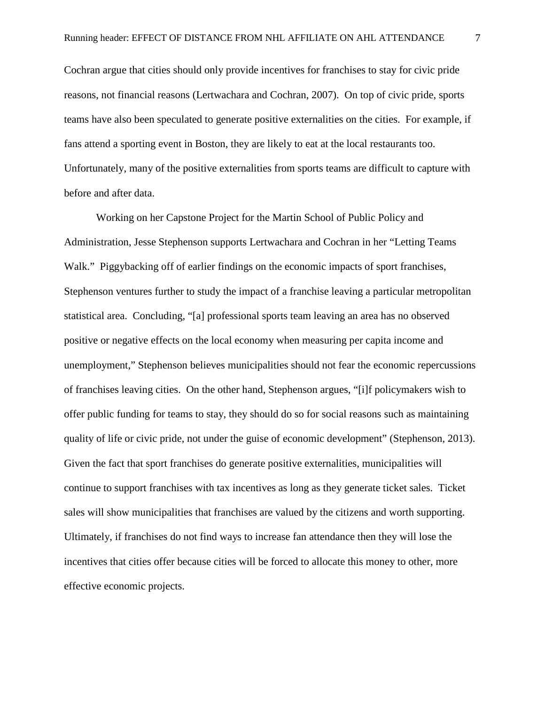Cochran argue that cities should only provide incentives for franchises to stay for civic pride reasons, not financial reasons (Lertwachara and Cochran, 2007). On top of civic pride, sports teams have also been speculated to generate positive externalities on the cities. For example, if fans attend a sporting event in Boston, they are likely to eat at the local restaurants too. Unfortunately, many of the positive externalities from sports teams are difficult to capture with before and after data.

 Working on her Capstone Project for the Martin School of Public Policy and Administration, Jesse Stephenson supports Lertwachara and Cochran in her "Letting Teams Walk." Piggybacking off of earlier findings on the economic impacts of sport franchises, Stephenson ventures further to study the impact of a franchise leaving a particular metropolitan statistical area. Concluding, "[a] professional sports team leaving an area has no observed positive or negative effects on the local economy when measuring per capita income and unemployment," Stephenson believes municipalities should not fear the economic repercussions of franchises leaving cities. On the other hand, Stephenson argues, "[i]f policymakers wish to offer public funding for teams to stay, they should do so for social reasons such as maintaining quality of life or civic pride, not under the guise of economic development" (Stephenson, 2013). Given the fact that sport franchises do generate positive externalities, municipalities will continue to support franchises with tax incentives as long as they generate ticket sales. Ticket sales will show municipalities that franchises are valued by the citizens and worth supporting. Ultimately, if franchises do not find ways to increase fan attendance then they will lose the incentives that cities offer because cities will be forced to allocate this money to other, more effective economic projects.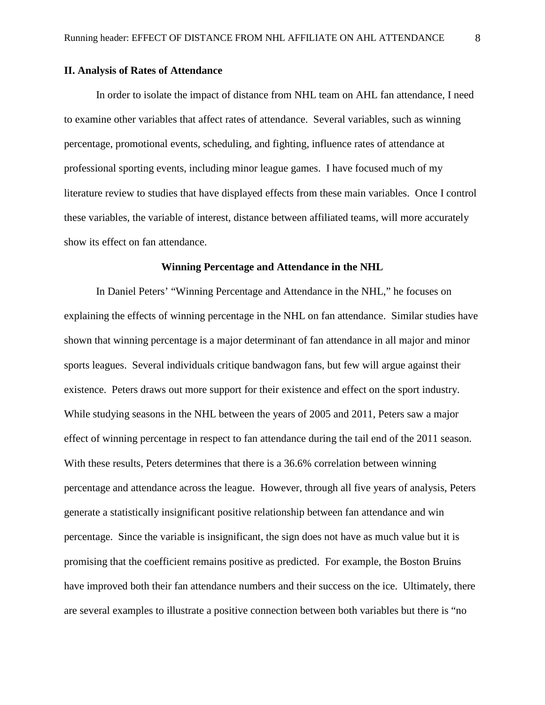#### **II. Analysis of Rates of Attendance**

 In order to isolate the impact of distance from NHL team on AHL fan attendance, I need to examine other variables that affect rates of attendance. Several variables, such as winning percentage, promotional events, scheduling, and fighting, influence rates of attendance at professional sporting events, including minor league games. I have focused much of my literature review to studies that have displayed effects from these main variables. Once I control these variables, the variable of interest, distance between affiliated teams, will more accurately show its effect on fan attendance.

#### **Winning Percentage and Attendance in the NHL**

 In Daniel Peters' "Winning Percentage and Attendance in the NHL," he focuses on explaining the effects of winning percentage in the NHL on fan attendance. Similar studies have shown that winning percentage is a major determinant of fan attendance in all major and minor sports leagues. Several individuals critique bandwagon fans, but few will argue against their existence. Peters draws out more support for their existence and effect on the sport industry. While studying seasons in the NHL between the years of 2005 and 2011, Peters saw a major effect of winning percentage in respect to fan attendance during the tail end of the 2011 season. With these results, Peters determines that there is a 36.6% correlation between winning percentage and attendance across the league. However, through all five years of analysis, Peters generate a statistically insignificant positive relationship between fan attendance and win percentage. Since the variable is insignificant, the sign does not have as much value but it is promising that the coefficient remains positive as predicted. For example, the Boston Bruins have improved both their fan attendance numbers and their success on the ice. Ultimately, there are several examples to illustrate a positive connection between both variables but there is "no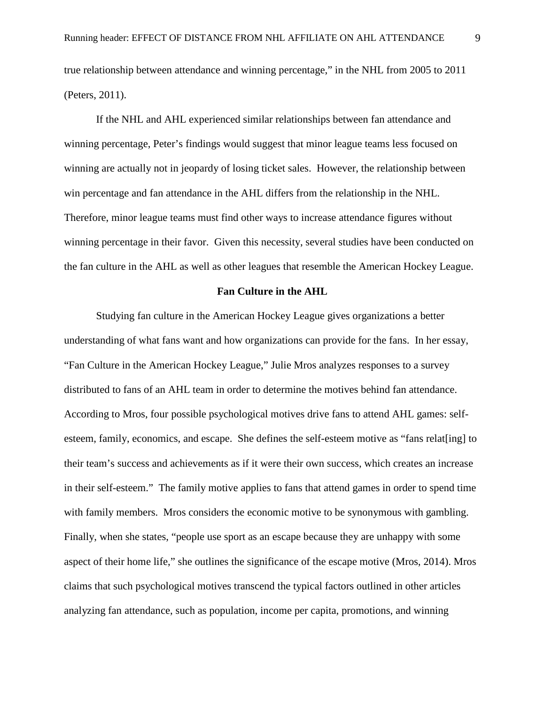true relationship between attendance and winning percentage," in the NHL from 2005 to 2011 (Peters, 2011).

 If the NHL and AHL experienced similar relationships between fan attendance and winning percentage, Peter's findings would suggest that minor league teams less focused on winning are actually not in jeopardy of losing ticket sales. However, the relationship between win percentage and fan attendance in the AHL differs from the relationship in the NHL. Therefore, minor league teams must find other ways to increase attendance figures without winning percentage in their favor. Given this necessity, several studies have been conducted on the fan culture in the AHL as well as other leagues that resemble the American Hockey League.

#### **Fan Culture in the AHL**

 Studying fan culture in the American Hockey League gives organizations a better understanding of what fans want and how organizations can provide for the fans. In her essay, "Fan Culture in the American Hockey League," Julie Mros analyzes responses to a survey distributed to fans of an AHL team in order to determine the motives behind fan attendance. According to Mros, four possible psychological motives drive fans to attend AHL games: selfesteem, family, economics, and escape. She defines the self-esteem motive as "fans relat[ing] to their team's success and achievements as if it were their own success, which creates an increase in their self-esteem." The family motive applies to fans that attend games in order to spend time with family members. Mros considers the economic motive to be synonymous with gambling. Finally, when she states, "people use sport as an escape because they are unhappy with some aspect of their home life," she outlines the significance of the escape motive (Mros, 2014). Mros claims that such psychological motives transcend the typical factors outlined in other articles analyzing fan attendance, such as population, income per capita, promotions, and winning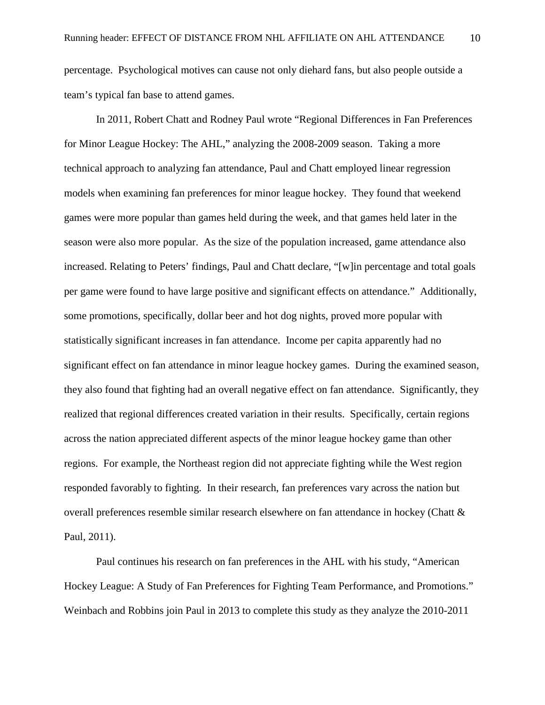percentage. Psychological motives can cause not only diehard fans, but also people outside a team's typical fan base to attend games.

 In 2011, Robert Chatt and Rodney Paul wrote "Regional Differences in Fan Preferences for Minor League Hockey: The AHL," analyzing the 2008-2009 season. Taking a more technical approach to analyzing fan attendance, Paul and Chatt employed linear regression models when examining fan preferences for minor league hockey. They found that weekend games were more popular than games held during the week, and that games held later in the season were also more popular. As the size of the population increased, game attendance also increased. Relating to Peters' findings, Paul and Chatt declare, "[w]in percentage and total goals per game were found to have large positive and significant effects on attendance." Additionally, some promotions, specifically, dollar beer and hot dog nights, proved more popular with statistically significant increases in fan attendance. Income per capita apparently had no significant effect on fan attendance in minor league hockey games. During the examined season, they also found that fighting had an overall negative effect on fan attendance. Significantly, they realized that regional differences created variation in their results. Specifically, certain regions across the nation appreciated different aspects of the minor league hockey game than other regions. For example, the Northeast region did not appreciate fighting while the West region responded favorably to fighting. In their research, fan preferences vary across the nation but overall preferences resemble similar research elsewhere on fan attendance in hockey (Chatt & Paul, 2011).

 Paul continues his research on fan preferences in the AHL with his study, "American Hockey League: A Study of Fan Preferences for Fighting Team Performance, and Promotions." Weinbach and Robbins join Paul in 2013 to complete this study as they analyze the 2010-2011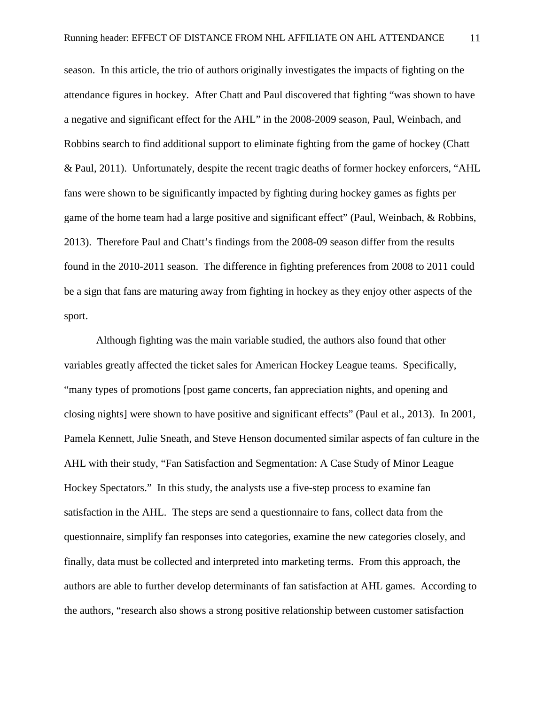season. In this article, the trio of authors originally investigates the impacts of fighting on the attendance figures in hockey. After Chatt and Paul discovered that fighting "was shown to have a negative and significant effect for the AHL" in the 2008-2009 season, Paul, Weinbach, and Robbins search to find additional support to eliminate fighting from the game of hockey (Chatt & Paul, 2011). Unfortunately, despite the recent tragic deaths of former hockey enforcers, "AHL fans were shown to be significantly impacted by fighting during hockey games as fights per game of the home team had a large positive and significant effect" (Paul, Weinbach, & Robbins, 2013). Therefore Paul and Chatt's findings from the 2008-09 season differ from the results found in the 2010-2011 season. The difference in fighting preferences from 2008 to 2011 could be a sign that fans are maturing away from fighting in hockey as they enjoy other aspects of the sport.

 Although fighting was the main variable studied, the authors also found that other variables greatly affected the ticket sales for American Hockey League teams. Specifically, "many types of promotions [post game concerts, fan appreciation nights, and opening and closing nights] were shown to have positive and significant effects" (Paul et al., 2013). In 2001, Pamela Kennett, Julie Sneath, and Steve Henson documented similar aspects of fan culture in the AHL with their study, "Fan Satisfaction and Segmentation: A Case Study of Minor League Hockey Spectators." In this study, the analysts use a five-step process to examine fan satisfaction in the AHL. The steps are send a questionnaire to fans, collect data from the questionnaire, simplify fan responses into categories, examine the new categories closely, and finally, data must be collected and interpreted into marketing terms. From this approach, the authors are able to further develop determinants of fan satisfaction at AHL games. According to the authors, "research also shows a strong positive relationship between customer satisfaction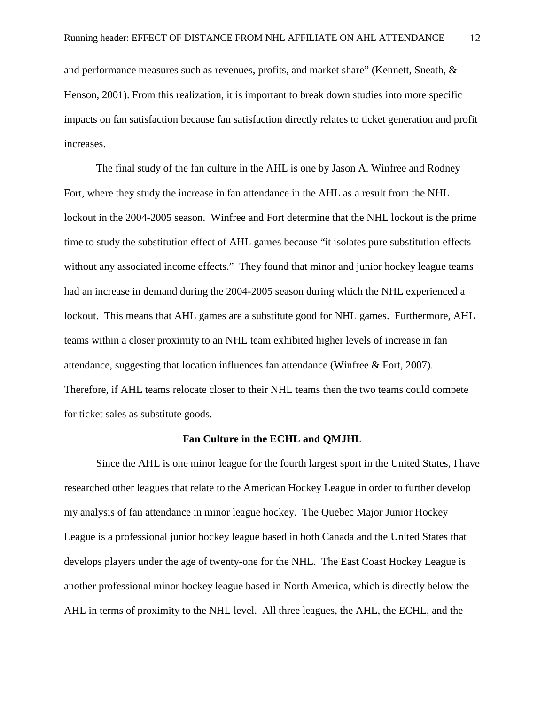and performance measures such as revenues, profits, and market share" (Kennett, Sneath, & Henson, 2001). From this realization, it is important to break down studies into more specific impacts on fan satisfaction because fan satisfaction directly relates to ticket generation and profit increases.

 The final study of the fan culture in the AHL is one by Jason A. Winfree and Rodney Fort, where they study the increase in fan attendance in the AHL as a result from the NHL lockout in the 2004-2005 season. Winfree and Fort determine that the NHL lockout is the prime time to study the substitution effect of AHL games because "it isolates pure substitution effects without any associated income effects." They found that minor and junior hockey league teams had an increase in demand during the 2004-2005 season during which the NHL experienced a lockout. This means that AHL games are a substitute good for NHL games. Furthermore, AHL teams within a closer proximity to an NHL team exhibited higher levels of increase in fan attendance, suggesting that location influences fan attendance (Winfree & Fort, 2007). Therefore, if AHL teams relocate closer to their NHL teams then the two teams could compete for ticket sales as substitute goods.

#### **Fan Culture in the ECHL and QMJHL**

 Since the AHL is one minor league for the fourth largest sport in the United States, I have researched other leagues that relate to the American Hockey League in order to further develop my analysis of fan attendance in minor league hockey. The Quebec Major Junior Hockey League is a professional junior hockey league based in both Canada and the United States that develops players under the age of twenty-one for the NHL. The East Coast Hockey League is another professional minor hockey league based in North America, which is directly below the AHL in terms of proximity to the NHL level. All three leagues, the AHL, the ECHL, and the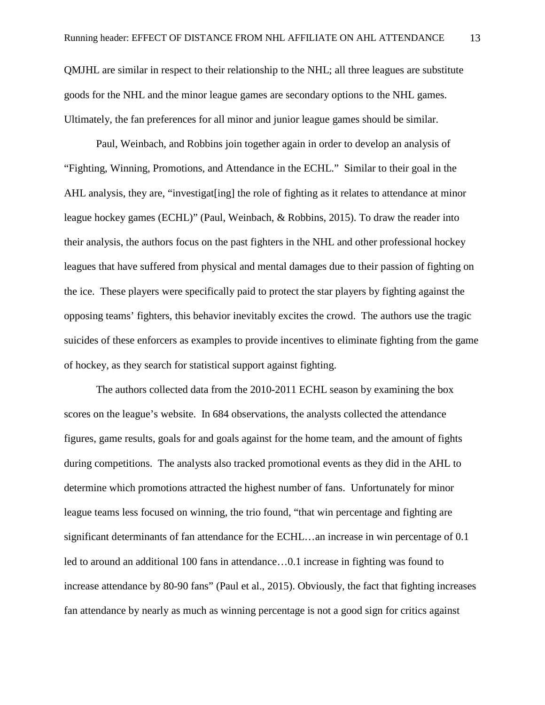QMJHL are similar in respect to their relationship to the NHL; all three leagues are substitute goods for the NHL and the minor league games are secondary options to the NHL games. Ultimately, the fan preferences for all minor and junior league games should be similar.

Paul, Weinbach, and Robbins join together again in order to develop an analysis of "Fighting, Winning, Promotions, and Attendance in the ECHL." Similar to their goal in the AHL analysis, they are, "investigat [ing] the role of fighting as it relates to attendance at minor league hockey games (ECHL)" (Paul, Weinbach, & Robbins, 2015). To draw the reader into their analysis, the authors focus on the past fighters in the NHL and other professional hockey leagues that have suffered from physical and mental damages due to their passion of fighting on the ice. These players were specifically paid to protect the star players by fighting against the opposing teams' fighters, this behavior inevitably excites the crowd. The authors use the tragic suicides of these enforcers as examples to provide incentives to eliminate fighting from the game of hockey, as they search for statistical support against fighting.

 The authors collected data from the 2010-2011 ECHL season by examining the box scores on the league's website. In 684 observations, the analysts collected the attendance figures, game results, goals for and goals against for the home team, and the amount of fights during competitions. The analysts also tracked promotional events as they did in the AHL to determine which promotions attracted the highest number of fans. Unfortunately for minor league teams less focused on winning, the trio found, "that win percentage and fighting are significant determinants of fan attendance for the ECHL…an increase in win percentage of 0.1 led to around an additional 100 fans in attendance…0.1 increase in fighting was found to increase attendance by 80-90 fans" (Paul et al., 2015). Obviously, the fact that fighting increases fan attendance by nearly as much as winning percentage is not a good sign for critics against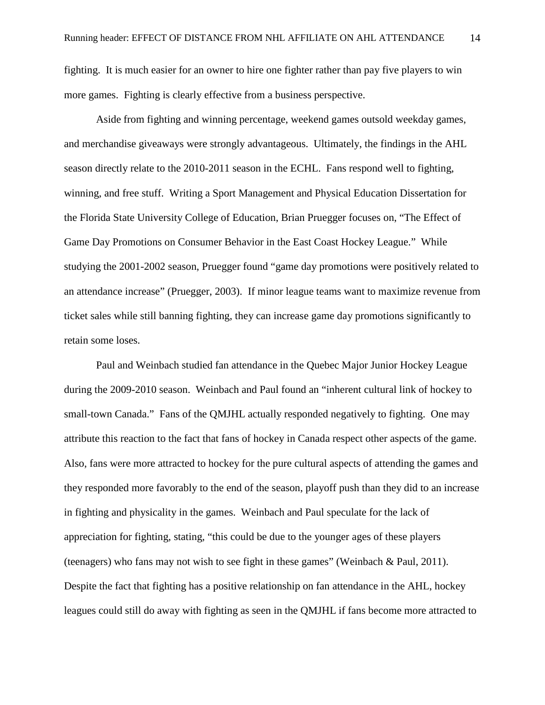fighting. It is much easier for an owner to hire one fighter rather than pay five players to win more games. Fighting is clearly effective from a business perspective.

 Aside from fighting and winning percentage, weekend games outsold weekday games, and merchandise giveaways were strongly advantageous. Ultimately, the findings in the AHL season directly relate to the 2010-2011 season in the ECHL. Fans respond well to fighting, winning, and free stuff. Writing a Sport Management and Physical Education Dissertation for the Florida State University College of Education, Brian Pruegger focuses on, "The Effect of Game Day Promotions on Consumer Behavior in the East Coast Hockey League." While studying the 2001-2002 season, Pruegger found "game day promotions were positively related to an attendance increase" (Pruegger, 2003). If minor league teams want to maximize revenue from ticket sales while still banning fighting, they can increase game day promotions significantly to retain some loses.

 Paul and Weinbach studied fan attendance in the Quebec Major Junior Hockey League during the 2009-2010 season. Weinbach and Paul found an "inherent cultural link of hockey to small-town Canada." Fans of the QMJHL actually responded negatively to fighting. One may attribute this reaction to the fact that fans of hockey in Canada respect other aspects of the game. Also, fans were more attracted to hockey for the pure cultural aspects of attending the games and they responded more favorably to the end of the season, playoff push than they did to an increase in fighting and physicality in the games. Weinbach and Paul speculate for the lack of appreciation for fighting, stating, "this could be due to the younger ages of these players (teenagers) who fans may not wish to see fight in these games" (Weinbach & Paul, 2011). Despite the fact that fighting has a positive relationship on fan attendance in the AHL, hockey leagues could still do away with fighting as seen in the QMJHL if fans become more attracted to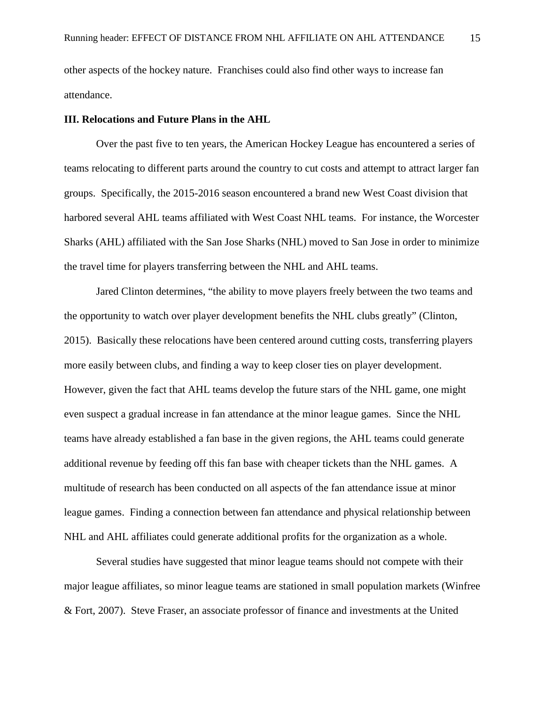other aspects of the hockey nature. Franchises could also find other ways to increase fan attendance.

## **III. Relocations and Future Plans in the AHL**

 Over the past five to ten years, the American Hockey League has encountered a series of teams relocating to different parts around the country to cut costs and attempt to attract larger fan groups. Specifically, the 2015-2016 season encountered a brand new West Coast division that harbored several AHL teams affiliated with West Coast NHL teams. For instance, the Worcester Sharks (AHL) affiliated with the San Jose Sharks (NHL) moved to San Jose in order to minimize the travel time for players transferring between the NHL and AHL teams.

 Jared Clinton determines, "the ability to move players freely between the two teams and the opportunity to watch over player development benefits the NHL clubs greatly" (Clinton, 2015). Basically these relocations have been centered around cutting costs, transferring players more easily between clubs, and finding a way to keep closer ties on player development. However, given the fact that AHL teams develop the future stars of the NHL game, one might even suspect a gradual increase in fan attendance at the minor league games. Since the NHL teams have already established a fan base in the given regions, the AHL teams could generate additional revenue by feeding off this fan base with cheaper tickets than the NHL games. A multitude of research has been conducted on all aspects of the fan attendance issue at minor league games. Finding a connection between fan attendance and physical relationship between NHL and AHL affiliates could generate additional profits for the organization as a whole.

 Several studies have suggested that minor league teams should not compete with their major league affiliates, so minor league teams are stationed in small population markets (Winfree & Fort, 2007). Steve Fraser, an associate professor of finance and investments at the United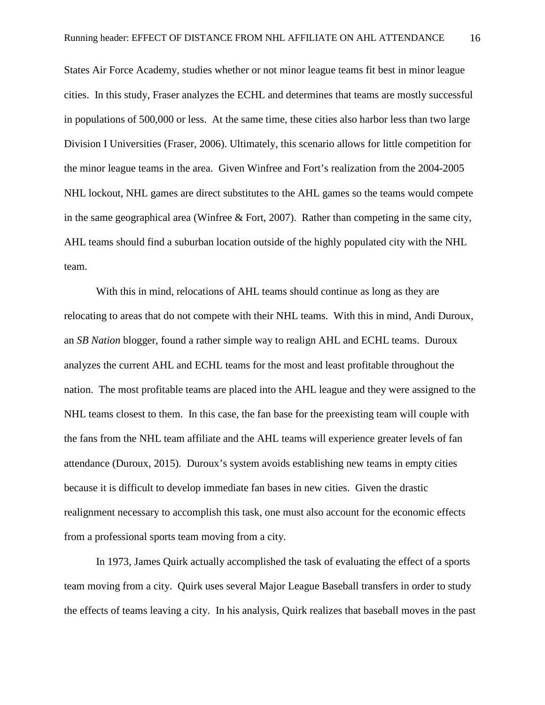States Air Force Academy, studies whether or not minor league teams fit best in minor league cities. In this study, Fraser analyzes the ECHL and determines that teams are mostly successful in populations of 500,000 or less. At the same time, these cities also harbor less than two large Division I Universities (Fraser, 2006). Ultimately, this scenario allows for little competition for the minor league teams in the area. Given Winfree and Fort's realization from the 2004-2005 NHL lockout, NHL games are direct substitutes to the AHL games so the teams would compete in the same geographical area (Winfree & Fort, 2007). Rather than competing in the same city, AHL teams should find a suburban location outside of the highly populated city with the NHL team.

 With this in mind, relocations of AHL teams should continue as long as they are relocating to areas that do not compete with their NHL teams. With this in mind, Andi Duroux, an *SB Nation* blogger, found a rather simple way to realign AHL and ECHL teams. Duroux analyzes the current AHL and ECHL teams for the most and least profitable throughout the nation. The most profitable teams are placed into the AHL league and they were assigned to the NHL teams closest to them. In this case, the fan base for the preexisting team will couple with the fans from the NHL team affiliate and the AHL teams will experience greater levels of fan attendance (Duroux, 2015). Duroux's system avoids establishing new teams in empty cities because it is difficult to develop immediate fan bases in new cities. Given the drastic realignment necessary to accomplish this task, one must also account for the economic effects from a professional sports team moving from a city.

 In 1973, James Quirk actually accomplished the task of evaluating the effect of a sports team moving from a city. Quirk uses several Major League Baseball transfers in order to study the effects of teams leaving a city. In his analysis, Quirk realizes that baseball moves in the past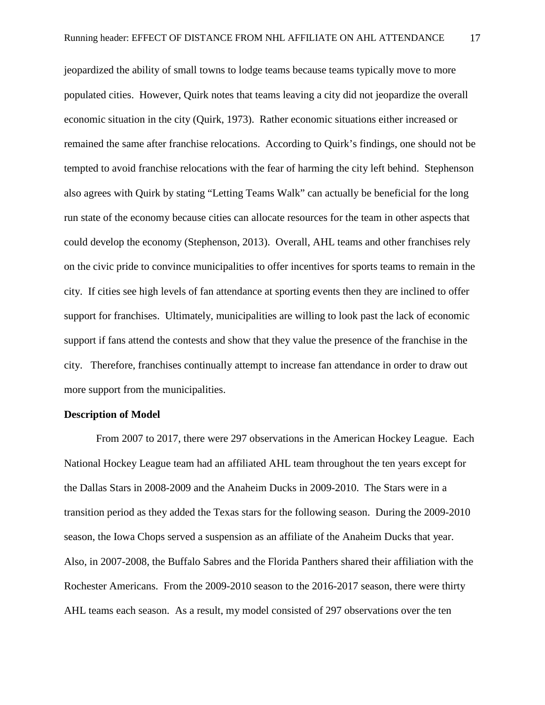jeopardized the ability of small towns to lodge teams because teams typically move to more populated cities. However, Quirk notes that teams leaving a city did not jeopardize the overall economic situation in the city (Quirk, 1973). Rather economic situations either increased or remained the same after franchise relocations. According to Quirk's findings, one should not be tempted to avoid franchise relocations with the fear of harming the city left behind. Stephenson also agrees with Quirk by stating "Letting Teams Walk" can actually be beneficial for the long run state of the economy because cities can allocate resources for the team in other aspects that could develop the economy (Stephenson, 2013). Overall, AHL teams and other franchises rely on the civic pride to convince municipalities to offer incentives for sports teams to remain in the city. If cities see high levels of fan attendance at sporting events then they are inclined to offer support for franchises. Ultimately, municipalities are willing to look past the lack of economic support if fans attend the contests and show that they value the presence of the franchise in the city. Therefore, franchises continually attempt to increase fan attendance in order to draw out more support from the municipalities.

#### **Description of Model**

From 2007 to 2017, there were 297 observations in the American Hockey League. Each National Hockey League team had an affiliated AHL team throughout the ten years except for the Dallas Stars in 2008-2009 and the Anaheim Ducks in 2009-2010. The Stars were in a transition period as they added the Texas stars for the following season. During the 2009-2010 season, the Iowa Chops served a suspension as an affiliate of the Anaheim Ducks that year. Also, in 2007-2008, the Buffalo Sabres and the Florida Panthers shared their affiliation with the Rochester Americans. From the 2009-2010 season to the 2016-2017 season, there were thirty AHL teams each season. As a result, my model consisted of 297 observations over the ten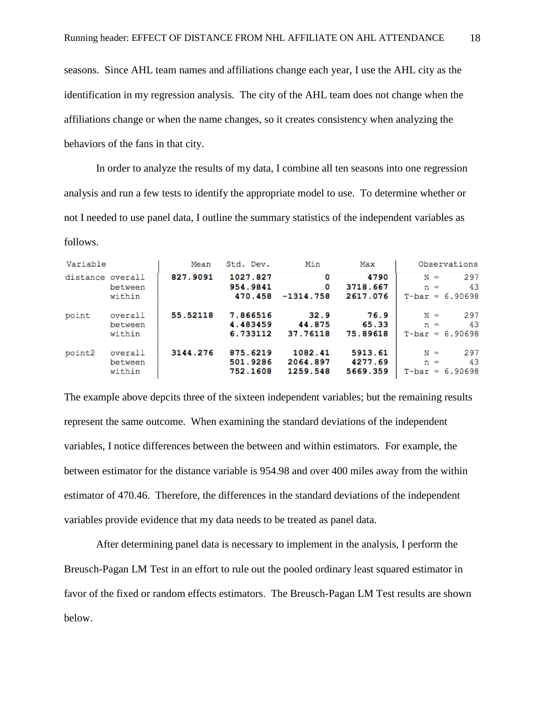seasons. Since AHL team names and affiliations change each year, I use the AHL city as the identification in my regression analysis. The city of the AHL team does not change when the affiliations change or when the name changes, so it creates consistency when analyzing the behaviors of the fans in that city.

In order to analyze the results of my data, I combine all ten seasons into one regression analysis and run a few tests to identify the appropriate model to use. To determine whether or not I needed to use panel data, I outline the summary statistics of the independent variables as follows.

| Variable         |         | Mean     | Std. Dev. | Min         | Max      | Observations          |
|------------------|---------|----------|-----------|-------------|----------|-----------------------|
| distance overall |         | 827.9091 | 1027.827  | ٥           | 4790     | 297<br>$N =$          |
|                  | between |          | 954.9841  | 0           | 3718.667 | 43<br>$n =$           |
|                  | within  |          | 470.458   | $-1314.758$ | 2617.076 | $T - bar = 6.90698$   |
| point            | overall | 55.52118 | 7.866516  | 32.9        | 76.9     | 297<br>$N =$          |
|                  | between |          | 4.483459  | 44.875      | 65.33    | 43<br>$n =$           |
|                  | within  |          | 6.733112  | 37.76118    | 75.89618 | $T - bar = 6.90698$   |
| point2           | overall | 3144.276 | 875.6219  | 1082.41     | 5913.61  | 297<br>$N =$          |
|                  | between |          | 501.9286  | 2064.897    | 4277.69  | 43<br>$n =$           |
|                  | within  |          | 752.1608  | 1259.548    | 5669.359 | 6.90698<br>$T$ -bar = |

The example above depcits three of the sixteen independent variables; but the remaining results represent the same outcome. When examining the standard deviations of the independent variables, I notice differences between the between and within estimators. For example, the between estimator for the distance variable is 954.98 and over 400 miles away from the within estimator of 470.46. Therefore, the differences in the standard deviations of the independent variables provide evidence that my data needs to be treated as panel data.

After determining panel data is necessary to implement in the analysis, I perform the Breusch-Pagan LM Test in an effort to rule out the pooled ordinary least squared estimator in favor of the fixed or random effects estimators. The Breusch-Pagan LM Test results are shown below.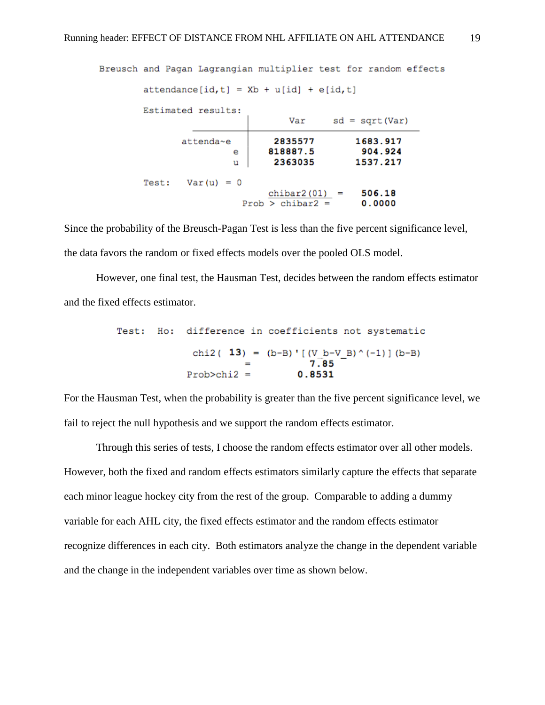```
Breusch and Pagan Lagrangian multiplier test for random effects
attendance(id, t] = Xb + u(id] + e(id, t]Estimated results:
                          Var sd = sqrt(Var)
                       2835577
                                     1683.917
       attenda~e
                      818887.5
                                     904.924
               e
                       2363035
                                     1537.217
                \mathbf{u}Test: Var(u) = 0chibar2(01) =506.18
                 Prob > chibar2 =0.0000
```
Since the probability of the Breusch-Pagan Test is less than the five percent significance level, the data favors the random or fixed effects models over the pooled OLS model.

However, one final test, the Hausman Test, decides between the random effects estimator and the fixed effects estimator.

```
Test: Ho: difference in coefficients not systematic
     chi2( 13) = (b-B)' [ (V b-V B)' (-1) ] (b-B)7.85
    Prob>chi2 =0.8531
```
For the Hausman Test, when the probability is greater than the five percent significance level, we fail to reject the null hypothesis and we support the random effects estimator.

Through this series of tests, I choose the random effects estimator over all other models. However, both the fixed and random effects estimators similarly capture the effects that separate each minor league hockey city from the rest of the group. Comparable to adding a dummy variable for each AHL city, the fixed effects estimator and the random effects estimator recognize differences in each city. Both estimators analyze the change in the dependent variable and the change in the independent variables over time as shown below.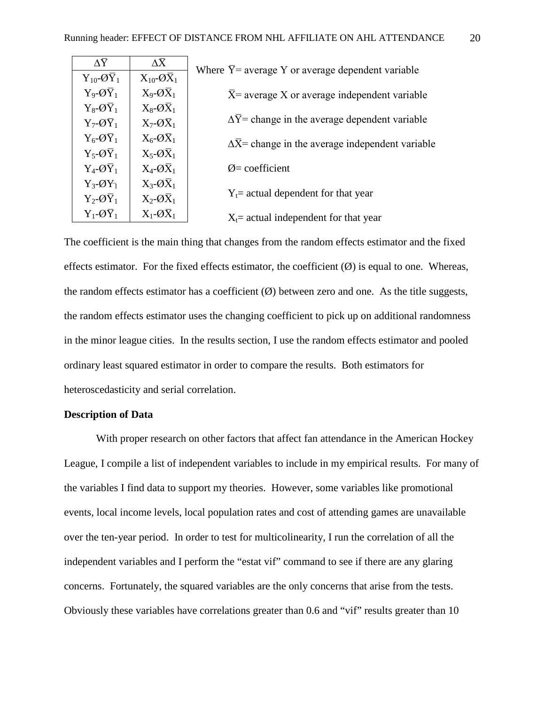| $\Lambda \overline{Y}$       | $\Lambda \bar{X}$            | Where $\overline{Y}$ = average Y or average dependent variable   |  |
|------------------------------|------------------------------|------------------------------------------------------------------|--|
| $Y_{10}$ - $\overline{Q}Y_1$ | $X_{10}$ - $\overline{OX}_1$ |                                                                  |  |
| $Y_9 - Q\overline{Y}_1$      | $X_9 - Q\overline{X}_1$      | $\overline{X}$ = average X or average independent variable       |  |
| $Y_8 - Q\overline{Y}_1$      | $X_8$ - $\overline{OX}_1$    |                                                                  |  |
| $Y_7 - Q\overline{Y}_1$      | $X_7$ - $\overline{OX}_1$    | $\Delta Y$ = change in the average dependent variable            |  |
| $Y_6 - Q\overline{Y}_1$      | $X_6$ - $\overline{OX}_1$    | $\Delta \overline{X}$ change in the average independent variable |  |
| $Y_5 - Q\overline{Y}_1$      | $X_5$ - $\overline{OX}_1$    |                                                                  |  |
| $Y_4 - Q\overline{Y}_1$      | $X_4$ - $\overline{OX}_1$    | $\varnothing$ = coefficient                                      |  |
| $Y_3 - \mathcal{O}Y_1$       | $X_3 - Q\overline{X}_1$      |                                                                  |  |
| $Y_2 - Q\overline{Y}_1$      | $X_2 - Q\overline{X}_1$      | $Y_t$ actual dependent for that year                             |  |
| $Y_1 - Q\overline{Y}_1$      | $X_1 - Q\overline{X}_1$      | $X_t$ = actual independent for that year                         |  |

The coefficient is the main thing that changes from the random effects estimator and the fixed effects estimator. For the fixed effects estimator, the coefficient  $(\emptyset)$  is equal to one. Whereas, the random effects estimator has a coefficient  $(\emptyset)$  between zero and one. As the title suggests, the random effects estimator uses the changing coefficient to pick up on additional randomness in the minor league cities. In the results section, I use the random effects estimator and pooled ordinary least squared estimator in order to compare the results. Both estimators for heteroscedasticity and serial correlation.

#### **Description of Data**

With proper research on other factors that affect fan attendance in the American Hockey League, I compile a list of independent variables to include in my empirical results. For many of the variables I find data to support my theories. However, some variables like promotional events, local income levels, local population rates and cost of attending games are unavailable over the ten-year period. In order to test for multicolinearity, I run the correlation of all the independent variables and I perform the "estat vif" command to see if there are any glaring concerns. Fortunately, the squared variables are the only concerns that arise from the tests. Obviously these variables have correlations greater than 0.6 and "vif" results greater than 10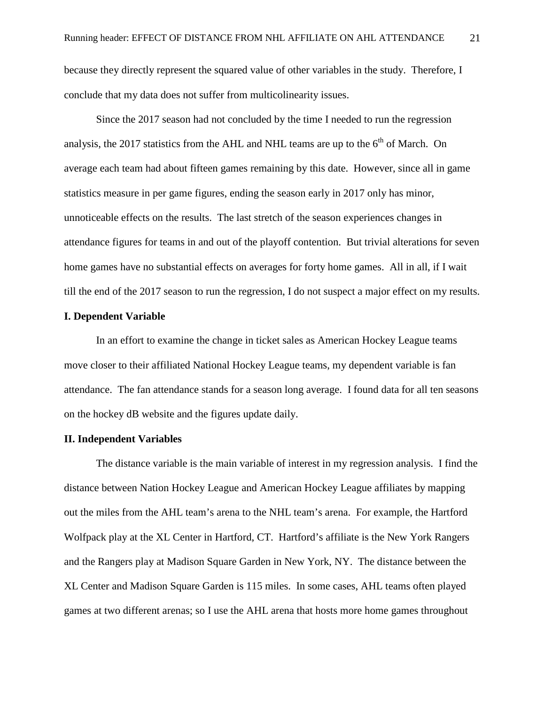because they directly represent the squared value of other variables in the study. Therefore, I conclude that my data does not suffer from multicolinearity issues.

Since the 2017 season had not concluded by the time I needed to run the regression analysis, the 2017 statistics from the AHL and NHL teams are up to the  $6<sup>th</sup>$  of March. On average each team had about fifteen games remaining by this date. However, since all in game statistics measure in per game figures, ending the season early in 2017 only has minor, unnoticeable effects on the results. The last stretch of the season experiences changes in attendance figures for teams in and out of the playoff contention. But trivial alterations for seven home games have no substantial effects on averages for forty home games. All in all, if I wait till the end of the 2017 season to run the regression, I do not suspect a major effect on my results.

### **I. Dependent Variable**

In an effort to examine the change in ticket sales as American Hockey League teams move closer to their affiliated National Hockey League teams, my dependent variable is fan attendance. The fan attendance stands for a season long average. I found data for all ten seasons on the hockey dB website and the figures update daily.

#### **II. Independent Variables**

The distance variable is the main variable of interest in my regression analysis. I find the distance between Nation Hockey League and American Hockey League affiliates by mapping out the miles from the AHL team's arena to the NHL team's arena. For example, the Hartford Wolfpack play at the XL Center in Hartford, CT. Hartford's affiliate is the New York Rangers and the Rangers play at Madison Square Garden in New York, NY. The distance between the XL Center and Madison Square Garden is 115 miles. In some cases, AHL teams often played games at two different arenas; so I use the AHL arena that hosts more home games throughout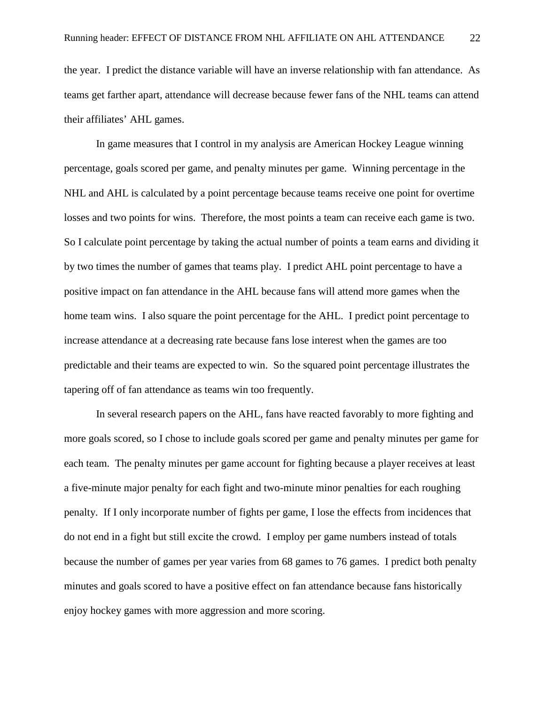the year. I predict the distance variable will have an inverse relationship with fan attendance. As teams get farther apart, attendance will decrease because fewer fans of the NHL teams can attend their affiliates' AHL games.

In game measures that I control in my analysis are American Hockey League winning percentage, goals scored per game, and penalty minutes per game. Winning percentage in the NHL and AHL is calculated by a point percentage because teams receive one point for overtime losses and two points for wins. Therefore, the most points a team can receive each game is two. So I calculate point percentage by taking the actual number of points a team earns and dividing it by two times the number of games that teams play. I predict AHL point percentage to have a positive impact on fan attendance in the AHL because fans will attend more games when the home team wins. I also square the point percentage for the AHL. I predict point percentage to increase attendance at a decreasing rate because fans lose interest when the games are too predictable and their teams are expected to win. So the squared point percentage illustrates the tapering off of fan attendance as teams win too frequently.

In several research papers on the AHL, fans have reacted favorably to more fighting and more goals scored, so I chose to include goals scored per game and penalty minutes per game for each team. The penalty minutes per game account for fighting because a player receives at least a five-minute major penalty for each fight and two-minute minor penalties for each roughing penalty. If I only incorporate number of fights per game, I lose the effects from incidences that do not end in a fight but still excite the crowd. I employ per game numbers instead of totals because the number of games per year varies from 68 games to 76 games. I predict both penalty minutes and goals scored to have a positive effect on fan attendance because fans historically enjoy hockey games with more aggression and more scoring.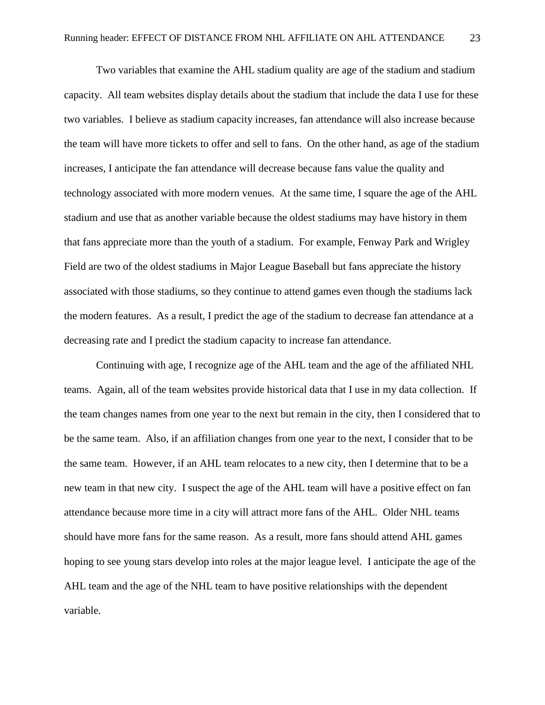Two variables that examine the AHL stadium quality are age of the stadium and stadium capacity. All team websites display details about the stadium that include the data I use for these two variables. I believe as stadium capacity increases, fan attendance will also increase because the team will have more tickets to offer and sell to fans. On the other hand, as age of the stadium increases, I anticipate the fan attendance will decrease because fans value the quality and technology associated with more modern venues. At the same time, I square the age of the AHL stadium and use that as another variable because the oldest stadiums may have history in them that fans appreciate more than the youth of a stadium. For example, Fenway Park and Wrigley Field are two of the oldest stadiums in Major League Baseball but fans appreciate the history associated with those stadiums, so they continue to attend games even though the stadiums lack the modern features. As a result, I predict the age of the stadium to decrease fan attendance at a decreasing rate and I predict the stadium capacity to increase fan attendance.

Continuing with age, I recognize age of the AHL team and the age of the affiliated NHL teams. Again, all of the team websites provide historical data that I use in my data collection. If the team changes names from one year to the next but remain in the city, then I considered that to be the same team. Also, if an affiliation changes from one year to the next, I consider that to be the same team. However, if an AHL team relocates to a new city, then I determine that to be a new team in that new city. I suspect the age of the AHL team will have a positive effect on fan attendance because more time in a city will attract more fans of the AHL. Older NHL teams should have more fans for the same reason. As a result, more fans should attend AHL games hoping to see young stars develop into roles at the major league level. I anticipate the age of the AHL team and the age of the NHL team to have positive relationships with the dependent variable.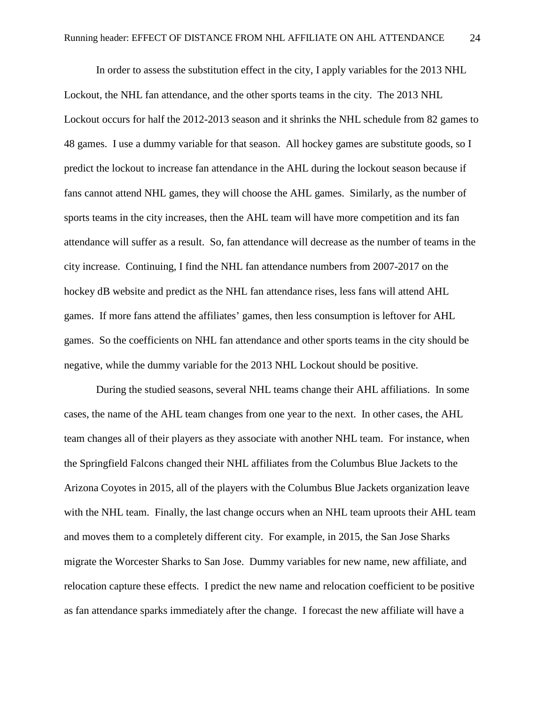In order to assess the substitution effect in the city, I apply variables for the 2013 NHL Lockout, the NHL fan attendance, and the other sports teams in the city. The 2013 NHL Lockout occurs for half the 2012-2013 season and it shrinks the NHL schedule from 82 games to 48 games. I use a dummy variable for that season. All hockey games are substitute goods, so I predict the lockout to increase fan attendance in the AHL during the lockout season because if fans cannot attend NHL games, they will choose the AHL games. Similarly, as the number of sports teams in the city increases, then the AHL team will have more competition and its fan attendance will suffer as a result. So, fan attendance will decrease as the number of teams in the city increase. Continuing, I find the NHL fan attendance numbers from 2007-2017 on the hockey dB website and predict as the NHL fan attendance rises, less fans will attend AHL games. If more fans attend the affiliates' games, then less consumption is leftover for AHL games. So the coefficients on NHL fan attendance and other sports teams in the city should be negative, while the dummy variable for the 2013 NHL Lockout should be positive.

During the studied seasons, several NHL teams change their AHL affiliations. In some cases, the name of the AHL team changes from one year to the next. In other cases, the AHL team changes all of their players as they associate with another NHL team. For instance, when the Springfield Falcons changed their NHL affiliates from the Columbus Blue Jackets to the Arizona Coyotes in 2015, all of the players with the Columbus Blue Jackets organization leave with the NHL team. Finally, the last change occurs when an NHL team uproots their AHL team and moves them to a completely different city. For example, in 2015, the San Jose Sharks migrate the Worcester Sharks to San Jose. Dummy variables for new name, new affiliate, and relocation capture these effects. I predict the new name and relocation coefficient to be positive as fan attendance sparks immediately after the change. I forecast the new affiliate will have a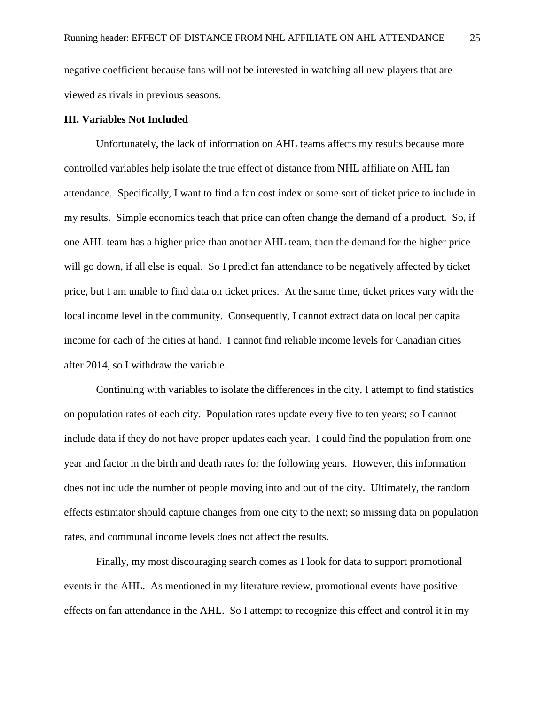negative coefficient because fans will not be interested in watching all new players that are viewed as rivals in previous seasons.

# **III. Variables Not Included**

Unfortunately, the lack of information on AHL teams affects my results because more controlled variables help isolate the true effect of distance from NHL affiliate on AHL fan attendance. Specifically, I want to find a fan cost index or some sort of ticket price to include in my results. Simple economics teach that price can often change the demand of a product. So, if one AHL team has a higher price than another AHL team, then the demand for the higher price will go down, if all else is equal. So I predict fan attendance to be negatively affected by ticket price, but I am unable to find data on ticket prices. At the same time, ticket prices vary with the local income level in the community. Consequently, I cannot extract data on local per capita income for each of the cities at hand. I cannot find reliable income levels for Canadian cities after 2014, so I withdraw the variable.

Continuing with variables to isolate the differences in the city, I attempt to find statistics on population rates of each city. Population rates update every five to ten years; so I cannot include data if they do not have proper updates each year. I could find the population from one year and factor in the birth and death rates for the following years. However, this information does not include the number of people moving into and out of the city. Ultimately, the random effects estimator should capture changes from one city to the next; so missing data on population rates, and communal income levels does not affect the results.

Finally, my most discouraging search comes as I look for data to support promotional events in the AHL. As mentioned in my literature review, promotional events have positive effects on fan attendance in the AHL. So I attempt to recognize this effect and control it in my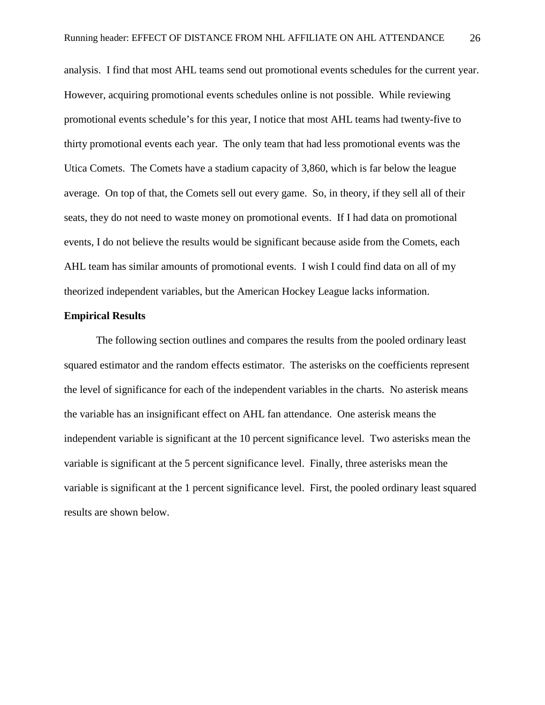analysis. I find that most AHL teams send out promotional events schedules for the current year. However, acquiring promotional events schedules online is not possible. While reviewing promotional events schedule's for this year, I notice that most AHL teams had twenty-five to thirty promotional events each year. The only team that had less promotional events was the Utica Comets. The Comets have a stadium capacity of 3,860, which is far below the league average. On top of that, the Comets sell out every game. So, in theory, if they sell all of their seats, they do not need to waste money on promotional events. If I had data on promotional events, I do not believe the results would be significant because aside from the Comets, each AHL team has similar amounts of promotional events. I wish I could find data on all of my theorized independent variables, but the American Hockey League lacks information.

#### **Empirical Results**

The following section outlines and compares the results from the pooled ordinary least squared estimator and the random effects estimator. The asterisks on the coefficients represent the level of significance for each of the independent variables in the charts. No asterisk means the variable has an insignificant effect on AHL fan attendance. One asterisk means the independent variable is significant at the 10 percent significance level. Two asterisks mean the variable is significant at the 5 percent significance level. Finally, three asterisks mean the variable is significant at the 1 percent significance level. First, the pooled ordinary least squared results are shown below.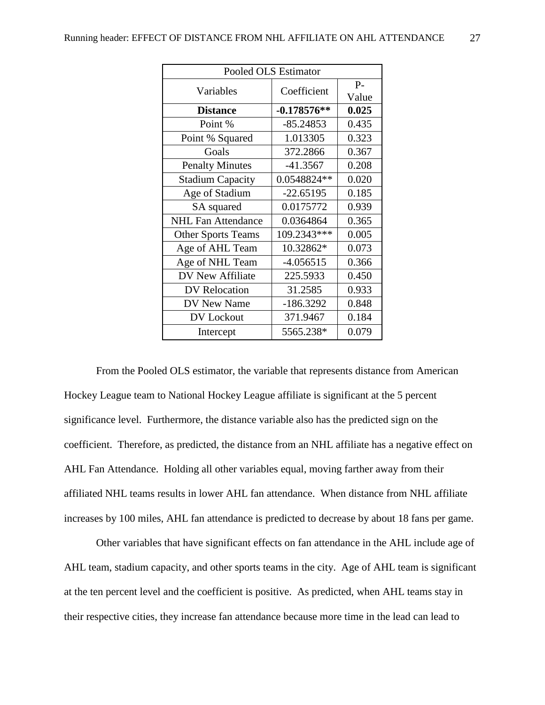| Pooled OLS Estimator      |               |                |  |  |  |
|---------------------------|---------------|----------------|--|--|--|
| Variables                 | Coefficient   | $P -$<br>Value |  |  |  |
| <b>Distance</b>           | $-0.178576**$ | 0.025          |  |  |  |
| Point %                   | $-85.24853$   | 0.435          |  |  |  |
| Point % Squared           | 1.013305      | 0.323          |  |  |  |
| Goals                     | 372.2866      | 0.367          |  |  |  |
| <b>Penalty Minutes</b>    | $-41.3567$    | 0.208          |  |  |  |
| <b>Stadium Capacity</b>   | 0.0548824**   | 0.020          |  |  |  |
| Age of Stadium            | $-22.65195$   | 0.185          |  |  |  |
| SA squared                | 0.0175772     | 0.939          |  |  |  |
| <b>NHL Fan Attendance</b> | 0.0364864     | 0.365          |  |  |  |
| <b>Other Sports Teams</b> | 109.2343***   | 0.005          |  |  |  |
| Age of AHL Team           | 10.32862*     | 0.073          |  |  |  |
| Age of NHL Team           | $-4.056515$   | 0.366          |  |  |  |
| DV New Affiliate          | 225.5933      | 0.450          |  |  |  |
| DV Relocation             | 31.2585       | 0.933          |  |  |  |
| DV New Name               | $-186.3292$   | 0.848          |  |  |  |
| DV Lockout                | 371.9467      | 0.184          |  |  |  |
| Intercept                 | 5565.238*     | 0.079          |  |  |  |

From the Pooled OLS estimator, the variable that represents distance from American Hockey League team to National Hockey League affiliate is significant at the 5 percent significance level. Furthermore, the distance variable also has the predicted sign on the coefficient. Therefore, as predicted, the distance from an NHL affiliate has a negative effect on AHL Fan Attendance. Holding all other variables equal, moving farther away from their affiliated NHL teams results in lower AHL fan attendance. When distance from NHL affiliate increases by 100 miles, AHL fan attendance is predicted to decrease by about 18 fans per game.

Other variables that have significant effects on fan attendance in the AHL include age of AHL team, stadium capacity, and other sports teams in the city. Age of AHL team is significant at the ten percent level and the coefficient is positive. As predicted, when AHL teams stay in their respective cities, they increase fan attendance because more time in the lead can lead to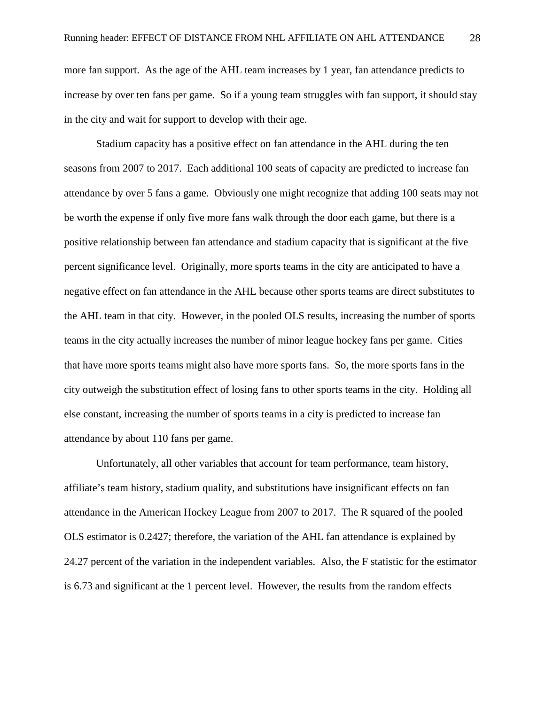more fan support. As the age of the AHL team increases by 1 year, fan attendance predicts to increase by over ten fans per game. So if a young team struggles with fan support, it should stay in the city and wait for support to develop with their age.

Stadium capacity has a positive effect on fan attendance in the AHL during the ten seasons from 2007 to 2017. Each additional 100 seats of capacity are predicted to increase fan attendance by over 5 fans a game. Obviously one might recognize that adding 100 seats may not be worth the expense if only five more fans walk through the door each game, but there is a positive relationship between fan attendance and stadium capacity that is significant at the five percent significance level. Originally, more sports teams in the city are anticipated to have a negative effect on fan attendance in the AHL because other sports teams are direct substitutes to the AHL team in that city. However, in the pooled OLS results, increasing the number of sports teams in the city actually increases the number of minor league hockey fans per game. Cities that have more sports teams might also have more sports fans. So, the more sports fans in the city outweigh the substitution effect of losing fans to other sports teams in the city. Holding all else constant, increasing the number of sports teams in a city is predicted to increase fan attendance by about 110 fans per game.

Unfortunately, all other variables that account for team performance, team history, affiliate's team history, stadium quality, and substitutions have insignificant effects on fan attendance in the American Hockey League from 2007 to 2017. The R squared of the pooled OLS estimator is 0.2427; therefore, the variation of the AHL fan attendance is explained by 24.27 percent of the variation in the independent variables. Also, the F statistic for the estimator is 6.73 and significant at the 1 percent level. However, the results from the random effects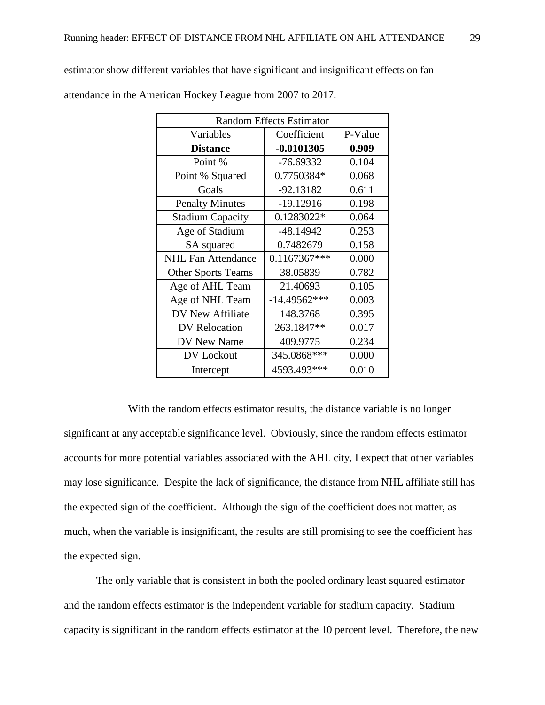| <b>Random Effects Estimator</b> |                |         |  |  |  |
|---------------------------------|----------------|---------|--|--|--|
| Variables                       | Coefficient    | P-Value |  |  |  |
| <b>Distance</b>                 | $-0.0101305$   | 0.909   |  |  |  |
| Point %                         | $-76.69332$    | 0.104   |  |  |  |
| Point % Squared                 | 0.7750384*     | 0.068   |  |  |  |
| Goals                           | $-92.13182$    | 0.611   |  |  |  |
| <b>Penalty Minutes</b>          | $-19.12916$    | 0.198   |  |  |  |
| <b>Stadium Capacity</b>         | 0.1283022*     | 0.064   |  |  |  |
| Age of Stadium                  | $-48.14942$    | 0.253   |  |  |  |
| SA squared                      | 0.7482679      | 0.158   |  |  |  |
| <b>NHL Fan Attendance</b>       | $0.1167367***$ | 0.000   |  |  |  |
| <b>Other Sports Teams</b>       | 38.05839       | 0.782   |  |  |  |
| Age of AHL Team                 | 21.40693       | 0.105   |  |  |  |
| Age of NHL Team                 | $-14.49562***$ | 0.003   |  |  |  |
| DV New Affiliate                | 148.3768       | 0.395   |  |  |  |
| DV Relocation                   | 263.1847**     | 0.017   |  |  |  |
| DV New Name                     | 409.9775       | 0.234   |  |  |  |
| DV Lockout                      | 345.0868***    | 0.000   |  |  |  |
| Intercept                       | 4593.493***    | 0.010   |  |  |  |

estimator show different variables that have significant and insignificant effects on fan attendance in the American Hockey League from 2007 to 2017.

With the random effects estimator results, the distance variable is no longer significant at any acceptable significance level. Obviously, since the random effects estimator accounts for more potential variables associated with the AHL city, I expect that other variables may lose significance. Despite the lack of significance, the distance from NHL affiliate still has the expected sign of the coefficient. Although the sign of the coefficient does not matter, as much, when the variable is insignificant, the results are still promising to see the coefficient has the expected sign.

The only variable that is consistent in both the pooled ordinary least squared estimator and the random effects estimator is the independent variable for stadium capacity. Stadium capacity is significant in the random effects estimator at the 10 percent level. Therefore, the new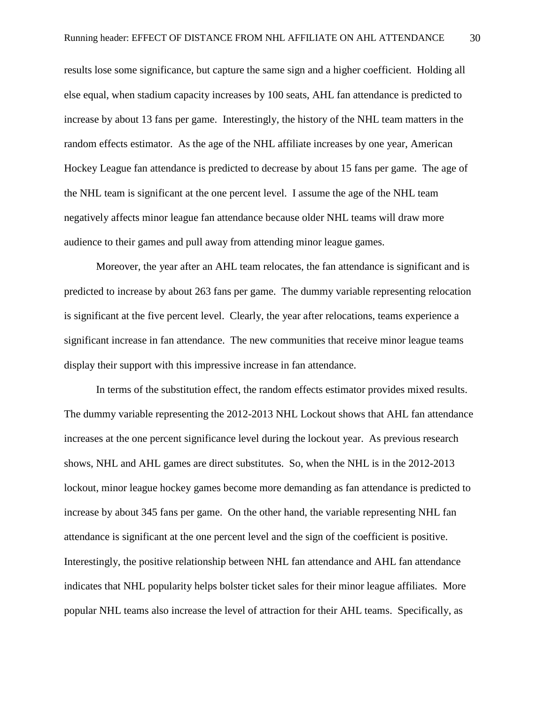results lose some significance, but capture the same sign and a higher coefficient. Holding all else equal, when stadium capacity increases by 100 seats, AHL fan attendance is predicted to increase by about 13 fans per game. Interestingly, the history of the NHL team matters in the random effects estimator. As the age of the NHL affiliate increases by one year, American Hockey League fan attendance is predicted to decrease by about 15 fans per game. The age of the NHL team is significant at the one percent level. I assume the age of the NHL team negatively affects minor league fan attendance because older NHL teams will draw more audience to their games and pull away from attending minor league games.

Moreover, the year after an AHL team relocates, the fan attendance is significant and is predicted to increase by about 263 fans per game. The dummy variable representing relocation is significant at the five percent level. Clearly, the year after relocations, teams experience a significant increase in fan attendance. The new communities that receive minor league teams display their support with this impressive increase in fan attendance.

In terms of the substitution effect, the random effects estimator provides mixed results. The dummy variable representing the 2012-2013 NHL Lockout shows that AHL fan attendance increases at the one percent significance level during the lockout year. As previous research shows, NHL and AHL games are direct substitutes. So, when the NHL is in the 2012-2013 lockout, minor league hockey games become more demanding as fan attendance is predicted to increase by about 345 fans per game. On the other hand, the variable representing NHL fan attendance is significant at the one percent level and the sign of the coefficient is positive. Interestingly, the positive relationship between NHL fan attendance and AHL fan attendance indicates that NHL popularity helps bolster ticket sales for their minor league affiliates. More popular NHL teams also increase the level of attraction for their AHL teams. Specifically, as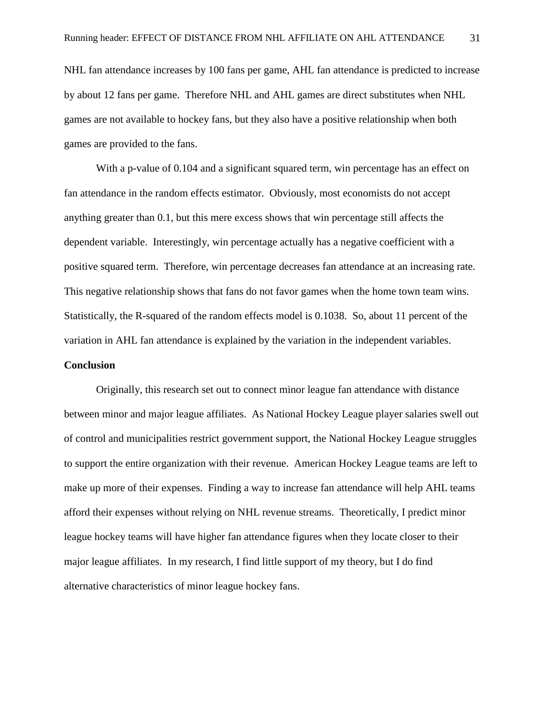NHL fan attendance increases by 100 fans per game, AHL fan attendance is predicted to increase by about 12 fans per game. Therefore NHL and AHL games are direct substitutes when NHL games are not available to hockey fans, but they also have a positive relationship when both games are provided to the fans.

With a p-value of 0.104 and a significant squared term, win percentage has an effect on fan attendance in the random effects estimator. Obviously, most economists do not accept anything greater than 0.1, but this mere excess shows that win percentage still affects the dependent variable. Interestingly, win percentage actually has a negative coefficient with a positive squared term. Therefore, win percentage decreases fan attendance at an increasing rate. This negative relationship shows that fans do not favor games when the home town team wins. Statistically, the R-squared of the random effects model is 0.1038. So, about 11 percent of the variation in AHL fan attendance is explained by the variation in the independent variables.

#### **Conclusion**

Originally, this research set out to connect minor league fan attendance with distance between minor and major league affiliates. As National Hockey League player salaries swell out of control and municipalities restrict government support, the National Hockey League struggles to support the entire organization with their revenue. American Hockey League teams are left to make up more of their expenses. Finding a way to increase fan attendance will help AHL teams afford their expenses without relying on NHL revenue streams. Theoretically, I predict minor league hockey teams will have higher fan attendance figures when they locate closer to their major league affiliates. In my research, I find little support of my theory, but I do find alternative characteristics of minor league hockey fans.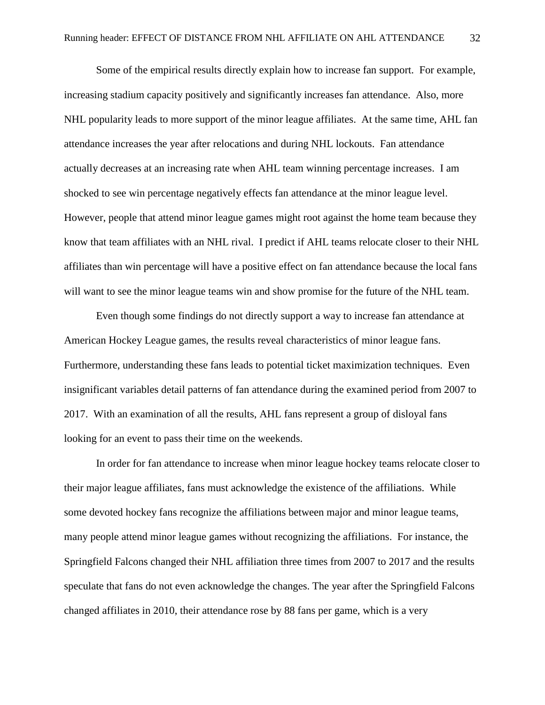Some of the empirical results directly explain how to increase fan support. For example, increasing stadium capacity positively and significantly increases fan attendance. Also, more NHL popularity leads to more support of the minor league affiliates. At the same time, AHL fan attendance increases the year after relocations and during NHL lockouts. Fan attendance actually decreases at an increasing rate when AHL team winning percentage increases. I am shocked to see win percentage negatively effects fan attendance at the minor league level. However, people that attend minor league games might root against the home team because they know that team affiliates with an NHL rival. I predict if AHL teams relocate closer to their NHL affiliates than win percentage will have a positive effect on fan attendance because the local fans will want to see the minor league teams win and show promise for the future of the NHL team.

Even though some findings do not directly support a way to increase fan attendance at American Hockey League games, the results reveal characteristics of minor league fans. Furthermore, understanding these fans leads to potential ticket maximization techniques. Even insignificant variables detail patterns of fan attendance during the examined period from 2007 to 2017. With an examination of all the results, AHL fans represent a group of disloyal fans looking for an event to pass their time on the weekends.

In order for fan attendance to increase when minor league hockey teams relocate closer to their major league affiliates, fans must acknowledge the existence of the affiliations. While some devoted hockey fans recognize the affiliations between major and minor league teams, many people attend minor league games without recognizing the affiliations. For instance, the Springfield Falcons changed their NHL affiliation three times from 2007 to 2017 and the results speculate that fans do not even acknowledge the changes. The year after the Springfield Falcons changed affiliates in 2010, their attendance rose by 88 fans per game, which is a very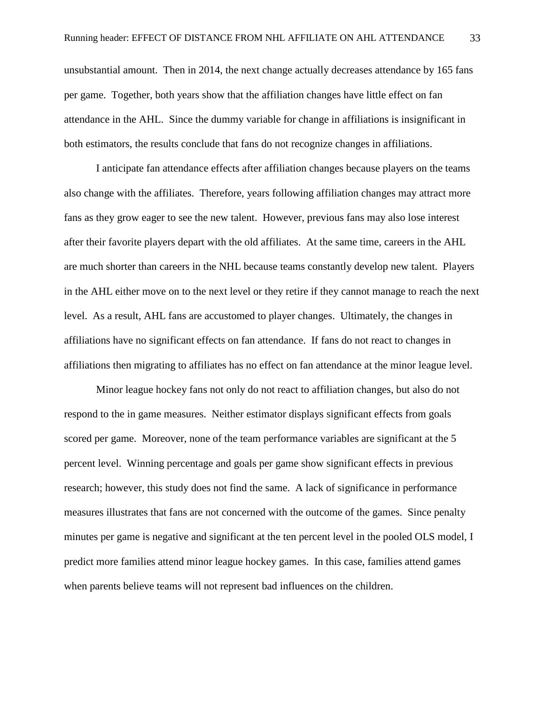unsubstantial amount. Then in 2014, the next change actually decreases attendance by 165 fans per game. Together, both years show that the affiliation changes have little effect on fan attendance in the AHL. Since the dummy variable for change in affiliations is insignificant in both estimators, the results conclude that fans do not recognize changes in affiliations.

I anticipate fan attendance effects after affiliation changes because players on the teams also change with the affiliates. Therefore, years following affiliation changes may attract more fans as they grow eager to see the new talent. However, previous fans may also lose interest after their favorite players depart with the old affiliates. At the same time, careers in the AHL are much shorter than careers in the NHL because teams constantly develop new talent. Players in the AHL either move on to the next level or they retire if they cannot manage to reach the next level. As a result, AHL fans are accustomed to player changes. Ultimately, the changes in affiliations have no significant effects on fan attendance. If fans do not react to changes in affiliations then migrating to affiliates has no effect on fan attendance at the minor league level.

Minor league hockey fans not only do not react to affiliation changes, but also do not respond to the in game measures. Neither estimator displays significant effects from goals scored per game. Moreover, none of the team performance variables are significant at the 5 percent level. Winning percentage and goals per game show significant effects in previous research; however, this study does not find the same. A lack of significance in performance measures illustrates that fans are not concerned with the outcome of the games. Since penalty minutes per game is negative and significant at the ten percent level in the pooled OLS model, I predict more families attend minor league hockey games. In this case, families attend games when parents believe teams will not represent bad influences on the children.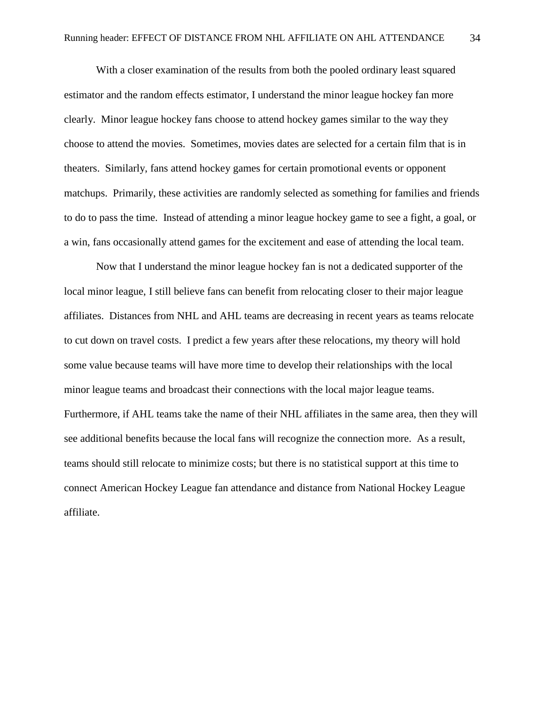With a closer examination of the results from both the pooled ordinary least squared estimator and the random effects estimator, I understand the minor league hockey fan more clearly. Minor league hockey fans choose to attend hockey games similar to the way they choose to attend the movies. Sometimes, movies dates are selected for a certain film that is in theaters. Similarly, fans attend hockey games for certain promotional events or opponent matchups. Primarily, these activities are randomly selected as something for families and friends to do to pass the time. Instead of attending a minor league hockey game to see a fight, a goal, or a win, fans occasionally attend games for the excitement and ease of attending the local team.

Now that I understand the minor league hockey fan is not a dedicated supporter of the local minor league, I still believe fans can benefit from relocating closer to their major league affiliates. Distances from NHL and AHL teams are decreasing in recent years as teams relocate to cut down on travel costs. I predict a few years after these relocations, my theory will hold some value because teams will have more time to develop their relationships with the local minor league teams and broadcast their connections with the local major league teams. Furthermore, if AHL teams take the name of their NHL affiliates in the same area, then they will see additional benefits because the local fans will recognize the connection more. As a result, teams should still relocate to minimize costs; but there is no statistical support at this time to connect American Hockey League fan attendance and distance from National Hockey League affiliate.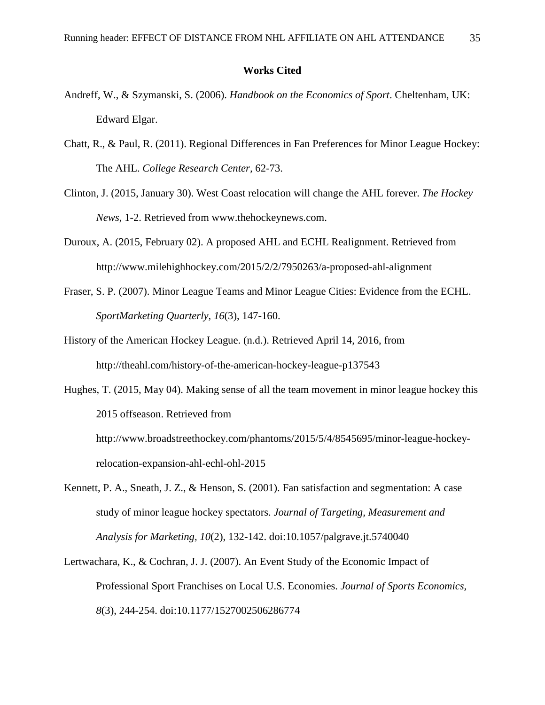### **Works Cited**

- Andreff, W., & Szymanski, S. (2006). *Handbook on the Economics of Sport*. Cheltenham, UK: Edward Elgar.
- Chatt, R., & Paul, R. (2011). Regional Differences in Fan Preferences for Minor League Hockey: The AHL. *College Research Center,* 62-73.
- Clinton, J. (2015, January 30). West Coast relocation will change the AHL forever. *The Hockey News*, 1-2. Retrieved from www.thehockeynews.com.
- Duroux, A. (2015, February 02). A proposed AHL and ECHL Realignment. Retrieved from http://www.milehighhockey.com/2015/2/2/7950263/a-proposed-ahl-alignment
- Fraser, S. P. (2007). Minor League Teams and Minor League Cities: Evidence from the ECHL. *SportMarketing Quarterly, 16*(3), 147-160.
- History of the American Hockey League. (n.d.). Retrieved April 14, 2016, from http://theahl.com/history-of-the-american-hockey-league-p137543

Hughes, T. (2015, May 04). Making sense of all the team movement in minor league hockey this 2015 offseason. Retrieved from http://www.broadstreethockey.com/phantoms/2015/5/4/8545695/minor-league-hockeyrelocation-expansion-ahl-echl-ohl-2015

- Kennett, P. A., Sneath, J. Z., & Henson, S. (2001). Fan satisfaction and segmentation: A case study of minor league hockey spectators. *Journal of Targeting, Measurement and Analysis for Marketing, 10*(2), 132-142. doi:10.1057/palgrave.jt.5740040
- Lertwachara, K., & Cochran, J. J. (2007). An Event Study of the Economic Impact of Professional Sport Franchises on Local U.S. Economies. *Journal of Sports Economics, 8*(3), 244-254. doi:10.1177/1527002506286774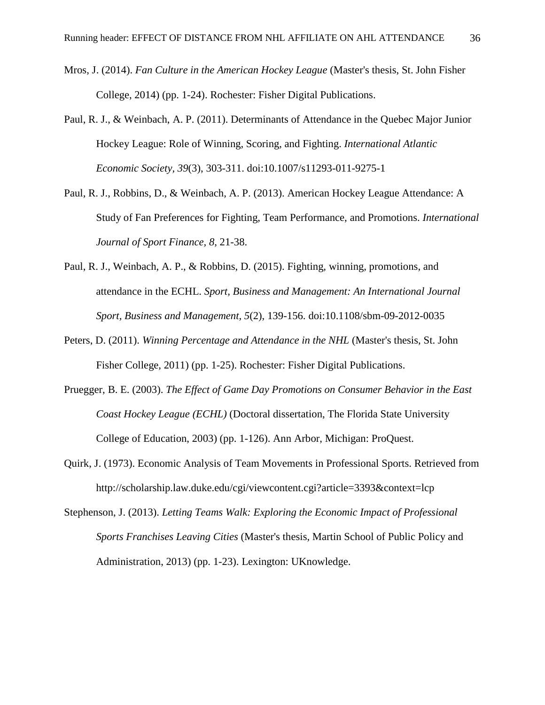- Mros, J. (2014). *Fan Culture in the American Hockey League* (Master's thesis, St. John Fisher College, 2014) (pp. 1-24). Rochester: Fisher Digital Publications.
- Paul, R. J., & Weinbach, A. P. (2011). Determinants of Attendance in the Quebec Major Junior Hockey League: Role of Winning, Scoring, and Fighting. *International Atlantic Economic Society, 39*(3), 303-311. doi:10.1007/s11293-011-9275-1
- Paul, R. J., Robbins, D., & Weinbach, A. P. (2013). American Hockey League Attendance: A Study of Fan Preferences for Fighting, Team Performance, and Promotions. *International Journal of Sport Finance, 8*, 21-38.
- Paul, R. J., Weinbach, A. P., & Robbins, D. (2015). Fighting, winning, promotions, and attendance in the ECHL. *Sport, Business and Management: An International Journal Sport, Business and Management, 5*(2), 139-156. doi:10.1108/sbm-09-2012-0035
- Peters, D. (2011). *Winning Percentage and Attendance in the NHL* (Master's thesis, St. John Fisher College, 2011) (pp. 1-25). Rochester: Fisher Digital Publications.
- Pruegger, B. E. (2003). *The Effect of Game Day Promotions on Consumer Behavior in the East Coast Hockey League (ECHL)* (Doctoral dissertation, The Florida State University College of Education, 2003) (pp. 1-126). Ann Arbor, Michigan: ProQuest.
- Quirk, J. (1973). Economic Analysis of Team Movements in Professional Sports. Retrieved from http://scholarship.law.duke.edu/cgi/viewcontent.cgi?article=3393&context=lcp
- Stephenson, J. (2013). *Letting Teams Walk: Exploring the Economic Impact of Professional Sports Franchises Leaving Cities* (Master's thesis, Martin School of Public Policy and Administration, 2013) (pp. 1-23). Lexington: UKnowledge.